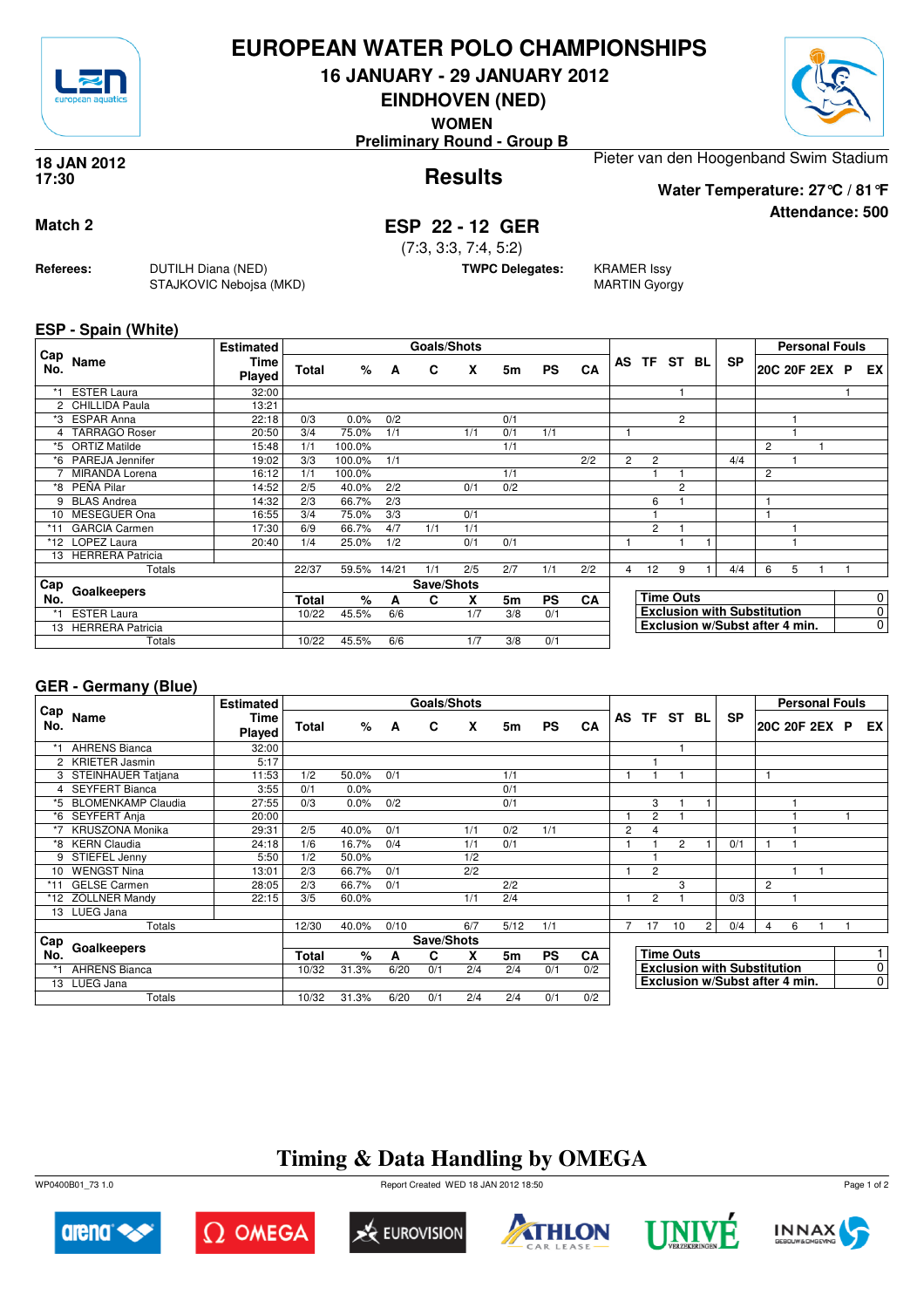

## **EUROPEAN WATER POLO CHAMPIONSHIPS**

**16 JANUARY - 29 JANUARY 2012**

**EINDHOVEN (NED)**

**WOMEN**

**Preliminary Round - Group B**

#### **Results 18 JAN 2012 17:30**

Pieter van den Hoogenband Swim Stadium

**Water Temperature: 27°C / 81°F**

**Attendance: 500**

## **Match 2 ESP 22 - 12 GER**

(7:3, 3:3, 7:4, 5:2)

**TWPC Delegates:** KRAMER Issy

MARTIN Gyorgy

### **ESP - Spain (White)**

**Referees:** DUTILH Diana (NED)

STAJKOVIC Nebojsa (MKD)

| Cap   |                         | <b>Estimated</b>      |              |        |                | <b>Goals/Shots</b> |     |     |           |     |                |                   |                  |                                    |   | <b>Personal Fouls</b> |  |    |
|-------|-------------------------|-----------------------|--------------|--------|----------------|--------------------|-----|-----|-----------|-----|----------------|-------------------|------------------|------------------------------------|---|-----------------------|--|----|
| No.   | Name                    | <b>Time</b><br>Played | <b>Total</b> | %      | $\overline{A}$ | C                  | X   | 5m  | <b>PS</b> | CA  |                |                   | AS TF ST BL      | <b>SP</b>                          |   | 20C 20F 2EX P         |  | EX |
| $*1$  | <b>ESTER Laura</b>      | 32:00                 |              |        |                |                    |     |     |           |     |                |                   |                  |                                    |   |                       |  |    |
|       | 2 CHILLIDA Paula        | 13:21                 |              |        |                |                    |     |     |           |     |                |                   |                  |                                    |   |                       |  |    |
|       | *3 ESPAR Anna           | 22:18                 | 0/3          | 0.0%   | 0/2            |                    |     | 0/1 |           |     |                |                   | $\overline{2}$   |                                    |   |                       |  |    |
|       | 4 TARRAGO Roser         | 20:50                 | 3/4          | 75.0%  | 1/1            |                    | 1/1 | 0/1 | 1/1       |     |                |                   |                  |                                    |   |                       |  |    |
| *5    | <b>ORTIZ Matilde</b>    | 15:48                 | 1/1          | 100.0% |                |                    |     | 1/1 |           |     |                |                   |                  |                                    | 2 |                       |  |    |
|       | *6 PAREJA Jennifer      | 19:02                 | 3/3          | 100.0% | 1/1            |                    |     |     |           | 2/2 | $\overline{2}$ | $\overline{c}$    |                  | 4/4                                |   |                       |  |    |
|       | <b>MIRANDA Lorena</b>   | 16:12                 | 1/1          | 100.0% |                |                    |     | 1/1 |           |     |                |                   |                  |                                    | 2 |                       |  |    |
|       | *8 PEÑA Pilar           | 14:52                 | 2/5          | 40.0%  | 2/2            |                    | 0/1 | 0/2 |           |     |                |                   | 2                |                                    |   |                       |  |    |
| 9.    | <b>BLAS Andrea</b>      | 14:32                 | 2/3          | 66.7%  | 2/3            |                    |     |     |           |     |                | 6                 |                  |                                    |   |                       |  |    |
| 10    | MESEGUER Ona            | 16:55                 | 3/4          | 75.0%  | 3/3            |                    | 0/1 |     |           |     |                |                   |                  |                                    |   |                       |  |    |
| $*11$ | <b>GARCIA Carmen</b>    | 17:30                 | 6/9          | 66.7%  | 4/7            | 1/1                | 1/1 |     |           |     |                | $\overline{2}$    |                  |                                    |   |                       |  |    |
|       | *12 LOPEZ Laura         | 20:40                 | 1/4          | 25.0%  | 1/2            |                    | 0/1 | 0/1 |           |     |                |                   |                  |                                    |   |                       |  |    |
| 13    | <b>HERRERA Patricia</b> |                       |              |        |                |                    |     |     |           |     |                |                   |                  |                                    |   |                       |  |    |
|       | Totals                  |                       | 22/37        | 59.5%  | 14/21          | 1/1                | 2/5 | 2/7 | 1/1       | 2/2 | 4              | $12 \overline{ }$ | 9                | 4/4                                | 6 | 5                     |  |    |
| Cap   | Goalkeepers             |                       |              |        |                | Save/Shots         |     |     |           |     |                |                   |                  |                                    |   |                       |  |    |
| No.   |                         |                       | <b>Total</b> | %      | A              | C                  | X   | 5m  | <b>PS</b> | CA  |                |                   | <b>Time Outs</b> |                                    |   |                       |  | 0  |
|       | <b>ESTER Laura</b>      |                       | 10/22        | 45.5%  | 6/6            |                    | 1/7 | 3/8 | 0/1       |     |                |                   |                  | <b>Exclusion with Substitution</b> |   |                       |  | 0  |
|       | 13 HERRERA Patricia     |                       |              |        |                |                    |     |     |           |     |                |                   |                  | Exclusion w/Subst after 4 min.     |   |                       |  | 0  |
|       | Totals                  |                       | 10/22        | 45.5%  | 6/6            |                    | 1/7 | 3/8 | 0/1       |     |                |                   |                  |                                    |   |                       |  |    |

### **GER - Germany (Blue)**

|            |                        | <b>Estimated</b>      |              |       |      | Goals/Shots |     |                |           |           |                |                |                  |                |                                    |                |   | <b>Personal Fouls</b> |    |
|------------|------------------------|-----------------------|--------------|-------|------|-------------|-----|----------------|-----------|-----------|----------------|----------------|------------------|----------------|------------------------------------|----------------|---|-----------------------|----|
| Cap<br>No. | Name                   | <b>Time</b><br>Played | <b>Total</b> | %     | A    | C           | X   | 5m             | <b>PS</b> | CA        |                |                | AS TF ST         | BL             | <b>SP</b>                          |                |   | 20C 20F 2EX P         | EX |
|            | <b>AHRENS Bianca</b>   | 32:00                 |              |       |      |             |     |                |           |           |                |                |                  |                |                                    |                |   |                       |    |
|            | 2 KRIETER Jasmin       | 5:17                  |              |       |      |             |     |                |           |           |                |                |                  |                |                                    |                |   |                       |    |
|            | 3 STEINHAUER Tatjana   | 11:53                 | 1/2          | 50.0% | 0/1  |             |     | 1/1            |           |           |                |                |                  |                |                                    |                |   |                       |    |
|            | 4 SEYFERT Bianca       | 3:55                  | 0/1          | 0.0%  |      |             |     | 0/1            |           |           |                |                |                  |                |                                    |                |   |                       |    |
|            | *5 BLOMENKAMP Claudia  | 27:55                 | 0/3          | 0.0%  | 0/2  |             |     | 0/1            |           |           |                | 3              |                  |                |                                    |                |   |                       |    |
|            | *6 SEYFERT Anja        | 20:00                 |              |       |      |             |     |                |           |           |                | $\overline{2}$ |                  |                |                                    |                |   |                       |    |
|            | <b>KRUSZONA Monika</b> | 29:31                 | 2/5          | 40.0% | 0/1  |             | 1/1 | 0/2            | 1/1       |           | $\overline{2}$ | 4              |                  |                |                                    |                |   |                       |    |
|            | *8 KERN Claudia        | 24:18                 | 1/6          | 16.7% | 0/4  |             | 1/1 | 0/1            |           |           |                |                | $\overline{2}$   |                | 0/1                                |                |   |                       |    |
|            | 9 STIEFEL Jenny        | 5:50                  | 1/2          | 50.0% |      |             | 1/2 |                |           |           |                |                |                  |                |                                    |                |   |                       |    |
| 10         | <b>WENGST Nina</b>     | 13:01                 | 2/3          | 66.7% | 0/1  |             | 2/2 |                |           |           |                | $\overline{2}$ |                  |                |                                    |                |   |                       |    |
| *11        | <b>GELSE Carmen</b>    | 28:05                 | 2/3          | 66.7% | 0/1  |             |     | 2/2            |           |           |                |                | 3                |                |                                    | $\overline{c}$ |   |                       |    |
|            | *12 ZÖLLNER Mandy      | 22:15                 | 3/5          | 60.0% |      |             | 1/1 | 2/4            |           |           |                | $\overline{2}$ |                  |                | 0/3                                |                |   |                       |    |
|            | 13 LUEG Jana           |                       |              |       |      |             |     |                |           |           |                |                |                  |                |                                    |                |   |                       |    |
|            | Totals                 |                       | 12/30        | 40.0% | 0/10 |             | 6/7 | 5/12           | 1/1       |           | 7              | 17             | 10               | $\overline{2}$ | 0/4                                | 4              | 6 |                       |    |
| <b>Cap</b> |                        |                       |              |       |      | Save/Shots  |     |                |           |           |                |                |                  |                |                                    |                |   |                       |    |
| No.        | Goalkeepers            |                       | Total        | %     | A    | C           | x   | 5 <sub>m</sub> | <b>PS</b> | <b>CA</b> |                |                | <b>Time Outs</b> |                |                                    |                |   |                       | 1  |
|            | <b>AHRENS Bianca</b>   |                       | 10/32        | 31.3% | 6/20 | 0/1         | 2/4 | 2/4            | 0/1       | 0/2       |                |                |                  |                | <b>Exclusion with Substitution</b> |                |   |                       | 0  |
|            | 13 LUEG Jana           |                       |              |       |      |             |     |                |           |           |                |                |                  |                | Exclusion w/Subst after 4 min.     |                |   |                       | 0  |
|            | Totals                 |                       | 10/32        | 31.3% | 6/20 | 0/1         | 2/4 | 2/4            | 0/1       | 0/2       |                |                |                  |                |                                    |                |   |                       |    |

# **Timing & Data Handling by OMEGA**

WP0400B01\_73 1.0 Report Created WED 18 JAN 2012 18:50













Page 1 of 2